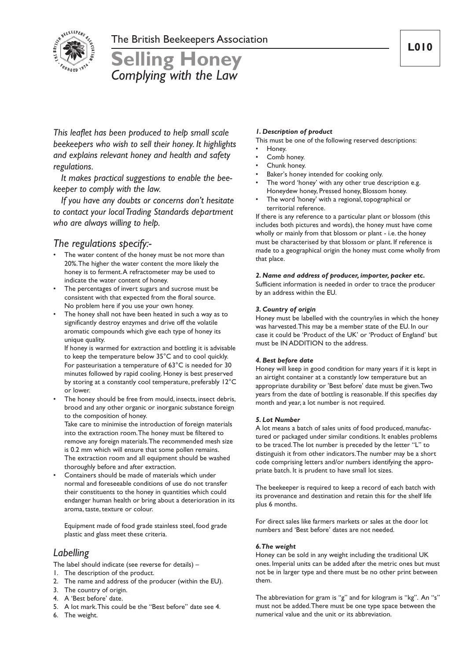

# **Selling Honey** *Complying with the Law*

*This leaflet has been produced to help small scale beekeepers who wish to sell their honey. It highlights and explains relevant honey and health and safety regulations.*

*It makes practical suggestions to enable the beekeeper to comply with the law.*

*If you have any doubts or concerns don't hesitate to contact your localTrading Standards department who are always willing to help.*

# *The regulations specify:-*

- The water content of the honey must be not more than 20%.The higher the water content the more likely the honey is to ferment.A refractometer may be used to indicate the water content of honey.
- The percentages of invert sugars and sucrose must be consistent with that expected from the floral source. No problem here if you use your own honey.
- The honey shall not have been heated in such a way as to significantly destroy enzymes and drive off the volatile aromatic compounds which give each type of honey its unique quality.

If honey is warmed for extraction and bottling it is advisable to keep the temperature below 35°C and to cool quickly. For pasteurisation a temperature of 63°C is needed for 30 minutes followed by rapid cooling. Honey is best preserved by storing at a constantly cool temperature, preferably 12°C or lower.

The honey should be free from mould, insects, insect debris, brood and any other organic or inorganic substance foreign to the composition of honey.

Take care to minimise the introduction of foreign materials into the extraction room.The honey must be filtered to remove any foreign materials.The recommended mesh size is 0.2 mm which will ensure that some pollen remains. The extraction room and all equipment should be washed thoroughly before and after extraction.

• Containers should be made of materials which under normal and foreseeable conditions of use do not transfer their constituents to the honey in quantities which could endanger human health or bring about a deterioration in its aroma, taste, texture or colour.

Equipment made of food grade stainless steel, food grade plastic and glass meet these criteria.

# *Labelling*

The label should indicate (see reverse for details) –

- 1. The description of the product.
- 2. The name and address of the producer (within the EU).
- 3. The country of origin.
- 4. A 'Best before' date.
- 5. A lot mark.This could be the "Best before" date see 4.
- 6. The weight.

## *1. Description of product*

- This must be one of the following reserved descriptions:
- Honey.
- Comb honey.
- Chunk honey.
- Baker's honey intended for cooking only.
- The word 'honey' with any other true description e.g. Honeydew honey, Pressed honey, Blossom honey.
- The word 'honey' with a regional, topographical or territorial reference.

If there is any reference to a particular plant or blossom (this includes both pictures and words), the honey must have come wholly or mainly from that blossom or plant - i.e. the honey must be characterised by that blossom or plant. If reference is made to a geographical origin the honey must come wholly from that place.

### *2. Name and address of producer, importer, packer etc.*

Sufficient information is needed in order to trace the producer by an address within the EU.

## *3. Country of origin*

Honey must be labelled with the country/ies in which the honey was harvested.This may be a member state of the EU. In our case it could be 'Product of the UK' or 'Product of England' but must be IN ADDITION to the address.

## *4. Best before date*

Honey will keep in good condition for many years if it is kept in an airtight container at a constantly low temperature but an appropriate durability or 'Best before' date must be given.Two years from the date of bottling is reasonable. If this specifies day month and year, a lot number is not required.

#### *5. Lot Number*

A lot means a batch of sales units of food produced, manufactured or packaged under similar conditions. It enables problems to be traced.The lot number is preceded by the letter "L" to distinguish it from other indicators.The number may be a short code comprising letters and/or numbers identifying the appropriate batch. It is prudent to have small lot sizes.

The beekeeper is required to keep a record of each batch with its provenance and destination and retain this for the shelf life plus 6 months.

For direct sales like farmers markets or sales at the door lot numbers and 'Best before' dates are not needed.

#### *6.The weight*

Honey can be sold in any weight including the traditional UK ones. Imperial units can be added after the metric ones but must not be in larger type and there must be no other print between them.

The abbreviation for gram is "g" and for kilogram is "kg". An "s" must not be added.There must be one type space between the numerical value and the unit or its abbreviation.